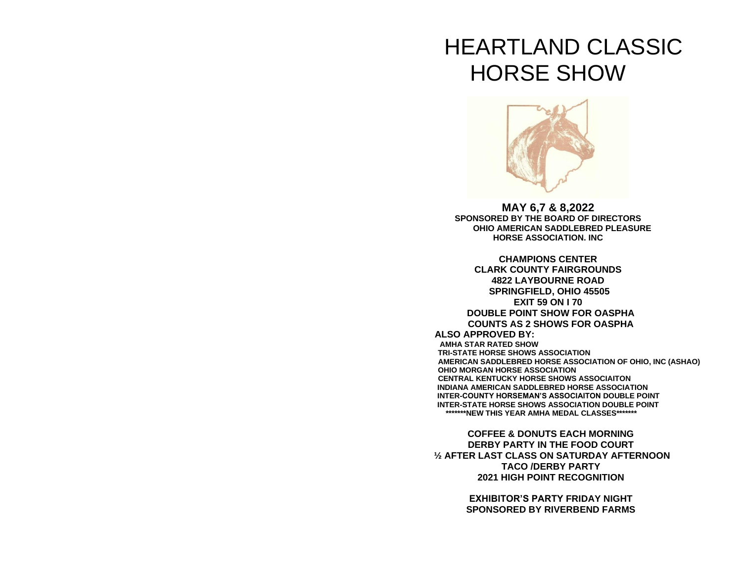# HEARTLAND CLASSIC HORSE SHOW



**MAY 6,7 & 8,2022 SPONSORED BY THE BOARD OF DIRECTORS OHIO AMERICAN SADDLEBRED PLEASURE HORSE ASSOCIATION. INC**

**CHAMPIONS CENTER CLARK COUNTY FAIRGROUNDS 4822 LAYBOURNE ROAD SPRINGFIELD, OHIO 45505 EXIT 59 ON I 70 DOUBLE POINT SHOW FOR OASPHA COUNTS AS 2 SHOWS FOR OASPHA ALSO APPROVED BY: AMHA STAR RATED SHOW TRI-STATE HORSE SHOWS ASSOCIATION AMERICAN SADDLEBRED HORSE ASSOCIATION OF OHIO, INC (ASHAO) OHIO MORGAN HORSE ASSOCIATION CENTRAL KENTUCKY HORSE SHOWS ASSOCIAITON INDIANA AMERICAN SADDLEBRED HORSE ASSOCIATION INTER-COUNTY HORSEMAN'S ASSOCIAITON DOUBLE POINT INTER-STATE HORSE SHOWS ASSOCIATION DOUBLE POINT \*\*\*\*\*\*\*NEW THIS YEAR AMHA MEDAL CLASSES\*\*\*\*\*\*\***

**COFFEE & DONUTS EACH MORNING DERBY PARTY IN THE FOOD COURT ½ AFTER LAST CLASS ON SATURDAY AFTERNOON TACO /DERBY PARTY 2021 HIGH POINT RECOGNITION**

> **EXHIBITOR'S PARTY FRIDAY NIGHT SPONSORED BY RIVERBEND FARMS**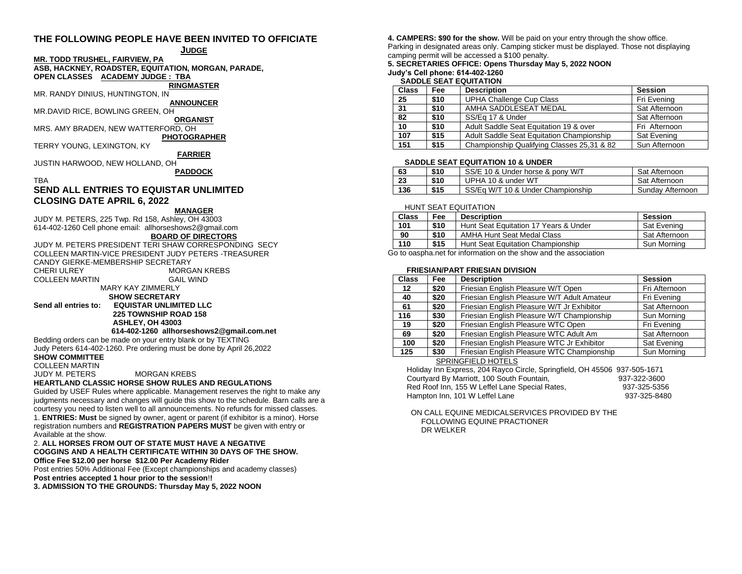# **THE FOLLOWING PEOPLE HAVE BEEN INVITED TO OFFICIATE**

#### **JUDGE**

#### **MR. TODD TRUSHEL, FAIRVIEW, PA**

**ASB, HACKNEY, ROADSTER, EQUITATION, MORGAN, PARADE, OPEN CLASSES ACADEMY JUDGE : TBA**

# **RINGMASTER**

MR. RANDY DINIUS, HUNTINGTON, IN

**ANNOUNCER** MR.DAVID RICE, BOWLING GREEN, OH

**ORGANIST**

MRS. AMY BRADEN, NEW WATTERFORD, OH

**PHOTOGRAPHER**

TERRY YOUNG, LEXINGTON, KY

**FARRIER**

JUSTIN HARWOOD, NEW HOLLAND, OH

**PADDOCK**

#### TBA

# **SEND ALL ENTRIES TO EQUISTAR UNLIMITED CLOSING DATE APRIL 6, 2022**

#### **MANAGER**

JUDY M. PETERS, 225 Twp. Rd 158, Ashley, OH 43003 614-402-1260 Cell phone email: allhorseshows2@gmail.com

# **BOARD OF DIRECTORS**

JUDY M. PETERS PRESIDENT TERI SHAW CORRESPONDING SECY COLLEEN MARTIN-VICE PRESIDENT JUDY PETERS -TREASURER CANDY GIERKE-MEMBERSHIP SECRETARY<br>CHERLULREY MORG **MORGAN KREBS** COLLEEN MARTIN GAIL WIND MARY KAY ZIMMERLY  **SHOW SECRETARY Send all entries to: EQUISTAR UNLIMITED LLC 225 TOWNSHIP ROAD 158 ASHLEY, OH 43003**

**614-402-1260 allhorseshows2@gmail.com.net**

Bedding orders can be made on your entry blank or by TEXTING Judy Peters 614-402-1260. Pre ordering must be done by April 26,2022

**SHOW COMMITTEE**

COLLEEN MARTIN

JUDY M. PETERS MORGAN KREBS

# **HEARTLAND CLASSIC HORSE SHOW RULES AND REGULATIONS**

Guided by USEF Rules where applicable. Management reserves the right to make any judgments necessary and changes will guide this show to the schedule. Barn calls are a courtesy you need to listen well to all announcements. No refunds for missed classes. 1. **ENTRIES: Must** be signed by owner, agent or parent (if exhibitor is a minor). Horse registration numbers and **REGISTRATION PAPERS MUST** be given with entry or Available at the show.

#### 2. **ALL HORSES FROM OUT OF STATE MUST HAVE A NEGATIVE COGGINS AND A HEALTH CERTIFICATE WITHIN 30 DAYS OF THE SHOW. Office Fee \$12.00 per horse \$12.00 Per Academy Rider**

Post entries 50% Additional Fee (Except championships and academy classes)

**Post entries accepted 1 hour prior to the session**!**!**

**3. ADMISSION TO THE GROUNDS: Thursday May 5, 2022 NOON** 

**4. CAMPERS: \$90 for the show.** Will be paid on your entry through the show office. Parking in designated areas only. Camping sticker must be displayed. Those not displaying camping permit will be accessed a \$100 penalty.

# **5. SECRETARIES OFFICE: Opens Thursday May 5, 2022 NOON Judy's Cell phone: 614-402-1260**

#### **SADDLE SEAT EQUITATION**

| <b>Class</b> | <b>Fee</b> | <b>Description</b>                         | <b>Session</b> |
|--------------|------------|--------------------------------------------|----------------|
| 25           | \$10       | <b>UPHA Challenge Cup Class</b>            | Fri Evening    |
| 31           | \$10       | AMHA SADDLESEAT MEDAL                      | Sat Afternoon  |
| 82           | \$10       | SS/Eq 17 & Under                           | Sat Afternoon  |
| 10           | \$10       | Adult Saddle Seat Equitation 19 & over     | Fri Afternoon  |
| 107          | \$15       | Adult Saddle Seat Equitation Championship  | Sat Evening    |
| 151          | \$15       | Championship Qualifying Classes 25,31 & 82 | Sun Afternoon  |

## **SADDLE SEAT EQUITATION 10 & UNDER**

| 63  | \$10 | SS/E 10 & Under horse & pony W/T  | Sat Afternoon    |
|-----|------|-----------------------------------|------------------|
| 23  | \$10 | UPHA 10 & under WT                | Sat Afternoon    |
| 136 | \$15 | SS/Eq W/T 10 & Under Championship | Sunday Afternoon |

## HUNT SEAT EQUITATION

| <b>Class</b> | Fee  | <b>Description</b>                    | <b>Session</b> |
|--------------|------|---------------------------------------|----------------|
| 101          | \$10 | Hunt Seat Equitation 17 Years & Under | Sat Evening    |
| 90           | \$10 | <b>AMHA Hunt Seat Medal Class</b>     | Sat Afternoon  |
| 110          | \$15 | Hunt Seat Equitation Championship     | Sun Morning    |

Go to oaspha.net for information on the show and the association

## **FRIESIAN/PART FRIESIAN DIVISION**

| <b>Class</b>     | Fee  | <b>Description</b>                          | <b>Session</b> |
|------------------|------|---------------------------------------------|----------------|
| 12 <sup>12</sup> | \$20 | Friesian English Pleasure W/T Open          | Fri Afternoon  |
| 40               | \$20 | Friesian English Pleasure W/T Adult Amateur | Fri Evening    |
| 61               | \$20 | Friesian English Pleasure W/T Jr Exhibitor  | Sat Afternoon  |
| 116              | \$30 | Friesian English Pleasure W/T Championship  | Sun Morning    |
| 19               | \$20 | Friesian English Pleasure WTC Open          | Fri Evening    |
| 69               | \$20 | Friesian English Pleasure WTC Adult Am      | Sat Afternoon  |
| 100              | \$20 | Friesian English Pleasure WTC Jr Exhibitor  | Sat Evening    |
| 125              | \$30 | Friesian English Pleasure WTC Championship  | Sun Morning    |

#### SPRINGFIELD HOTELS

 Holiday Inn Express, 204 Rayco Circle, Springfield, OH 45506 937-505-1671 Courtyard By Marriott, 100 South Fountain, 1937-322-3600<br>Red Roof Inn. 155 W Leffel Lane Special Rates. 937-325-5356 Red Roof Inn, 155 W Leffel Lane Special Rates. Hampton Inn, 101 W Leffel Lane 100 100 100 100 100 100 101 103 104 104 105 106 107 108 108 108 108 108 108 10

 ON CALL EQUINE MEDICALSERVICES PROVIDED BY THE FOLLOWING EQUINE PRACTIONER DR WELKER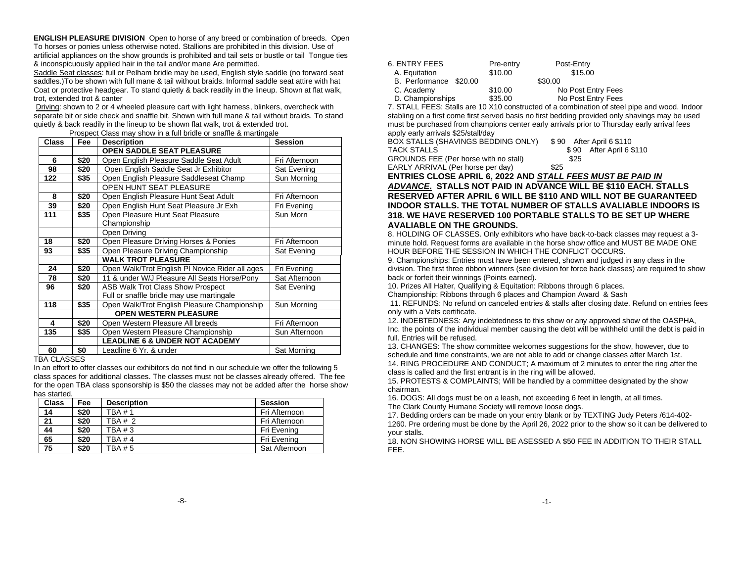**ENGLISH PLEASURE DIVISION** Open to horse of any breed or combination of breeds. Open To horses or ponies unless otherwise noted. Stallions are prohibited in this division. Use of artificial appliances on the show grounds is prohibited and tail sets or bustle or tail Tongue ties & inconspicuously applied hair in the tail and/or mane Are permitted.

Saddle Seat classes: full or Pelham bridle may be used, English style saddle (no forward seat saddles.)To be shown with full mane & tail without braids. Informal saddle seat attire with hat Coat or protective headgear. To stand quietly & back readily in the lineup. Shown at flat walk, trot, extended trot & canter

Driving: shown to 2 or 4 wheeled pleasure cart with light harness, blinkers, overcheck with separate bit or side check and snaffle bit. Shown with full mane & tail without braids. To stand quietly & back readily in the lineup to be shown flat walk, trot & extended trot.

| <b>Class</b> | <b>Fee</b> | <b>Description</b>                                      | <b>Session</b> |
|--------------|------------|---------------------------------------------------------|----------------|
|              |            | <b>OPEN SADDLE SEAT PLEASURE</b>                        |                |
| 6            | \$20       | Open English Pleasure Saddle Seat Adult                 | Fri Afternoon  |
| 98           | \$20       | Open English Saddle Seat Jr Exhibitor                   | Sat Evening    |
| 122          | \$35       | Open English Pleasure Saddleseat Champ                  | Sun Morning    |
|              |            | OPEN HUNT SEAT PLEASURE                                 |                |
| 8            | \$20       | Open English Pleasure Hunt Seat Adult                   | Fri Afternoon  |
| 39           | \$20       | Open English Hunt Seat Pleasure Jr Exh                  | Fri Evening    |
| 111          | \$35       | Open Pleasure Hunt Seat Pleasure                        | Sun Morn       |
|              |            | Championship                                            |                |
|              |            | Open Driving                                            |                |
| 18           | \$20       | Open Pleasure Driving Horses & Ponies                   | Fri Afternoon  |
| 93           | \$35       | Open Pleasure Driving Championship                      | Sat Evening    |
|              |            | <b>WALK TROT PLEASURE</b>                               |                |
| 24           | \$20       | Open Walk/Trot English PI Novice Rider all ages         | Fri Evening    |
| 78           | \$20       | 11 & under W/J Pleasure All Seats Horse/Pony            | Sat Afternoon  |
| 96           | \$20       | <b>ASB Walk Trot Class Show Prospect</b><br>Sat Evening |                |
|              |            | Full or snaffle bridle may use martingale               |                |
| 118          | \$35       | Open Walk/Trot English Pleasure Championship            | Sun Morning    |
|              |            | <b>OPEN WESTERN PLEASURE</b>                            |                |
| 4            | \$20       | Open Western Pleasure All breeds                        | Fri Afternoon  |
| 135          | \$35       | Open Western Pleasure Championship                      | Sun Afternoon  |
|              |            | <b>LEADLINE 6 &amp; UNDER NOT ACADEMY</b>               |                |
| 60           | \$0        | Leadline 6 Yr. & under                                  | Sat Morning    |

Prospect Class may show in a full bridle or snaffle & martingale

#### TRA CLASSES

In an effort to offer classes our exhibitors do not find in our schedule we offer the following 5 class spaces for additional classes. The classes must not be classes already offered. The fee for the open TBA class sponsorship is \$50 the classes may not be added after the horse show has started.

| <b>Class</b> | Fee  | <b>Description</b> | <b>Session</b> |
|--------------|------|--------------------|----------------|
| 14           | \$20 | TBA # 1            | Fri Afternoon  |
| 21           | \$20 | <b>TRA # 2</b>     | Fri Afternoon  |
| 44           | \$20 | <b>TBA #3</b>      | Fri Evening    |
| 65           | \$20 | <b>TRA #4</b>      | Fri Evening    |
| 75           | \$20 | TBA # 5            | Sat Afternoon  |

| 6. ENTRY FEES          | Pre-entry | Post-Entry         |
|------------------------|-----------|--------------------|
| A. Equitation          | \$10.00   | \$15.00            |
| B. Performance \$20.00 |           | \$30.00            |
| C. Academy             | \$10.00   | No Post Entry Fees |
| D. Championships       | \$35.00   | No Post Entry Fees |
|                        |           | .                  |

7. STALL FEES: Stalls are 10 X10 constructed of a combination of steel pipe and wood. Indoor stabling on a first come first served basis no first bedding provided only shavings may be used must be purchased from champions center early arrivals prior to Thursday early arrival fees apply early arrivals \$25/stall/day

| BOX STALLS (SHAVINGS BEDDING ONLY)    | \$90 After April 6 \$110 |
|---------------------------------------|--------------------------|
| TACK STALLS                           | \$90 After April 6 \$110 |
| GROUNDS FEE (Per horse with no stall) | \$25                     |
| EARLY ARRIVAL (Per horse per day)     | \$25                     |

# **ENTRIES CLOSE APRIL 6, 2022 AND** *STALL FEES MUST BE PAID IN ADVANCE***. STALLS NOT PAID IN ADVANCE WILL BE \$110 EACH. STALLS RESERVED AFTER APRIL 6 WILL BE \$110 AND WILL NOT BE GUARANTEED INDOOR STALLS. THE TOTAL NUMBER OF STALLS AVALIABLE INDOORS IS 318. WE HAVE RESERVED 100 PORTABLE STALLS TO BE SET UP WHERE AVALIABLE ON THE GROUNDS.**

8. HOLDING OF CLASSES. Only exhibitors who have back-to-back classes may request a 3 minute hold. Request forms are available in the horse show office and MUST BE MADE ONE HOUR BEFORE THE SESSION IN WHICH THE CONFLICT OCCURS.

9. Championships: Entries must have been entered, shown and judged in any class in the division. The first three ribbon winners (see division for force back classes) are required to show back or forfeit their winnings (Points earned).

10. Prizes All Halter, Qualifying & Equitation: Ribbons through 6 places. Championship: Ribbons through 6 places and Champion Award & Sash

11. REFUNDS: No refund on canceled entries & stalls after closing date. Refund on entries fees only with a Vets certificate.

12. INDEBTEDNESS: Any indebtedness to this show or any approved show of the OASPHA, Inc. the points of the individual member causing the debt will be withheld until the debt is paid in full. Entries will be refused.

13. CHANGES: The show committee welcomes suggestions for the show, however, due to schedule and time constraints, we are not able to add or change classes after March 1st. 14. RING PROCEDURE AND CONDUCT; A maximum of 2 minutes to enter the ring after the class is called and the first entrant is in the ring will be allowed.

15. PROTESTS & COMPLAINTS; Will be handled by a committee designated by the show chairman.

16. DOGS: All dogs must be on a leash, not exceeding 6 feet in length, at all times. The Clark County Humane Society will remove loose dogs.

17. Bedding orders can be made on your entry blank or by TEXTING Judy Peters /614-402- 1260. Pre ordering must be done by the April 26, 2022 prior to the show so it can be delivered to your stalls.

18. NON SHOWING HORSE WILL BE ASESSED A \$50 FEE IN ADDITION TO THEIR STALL FEE.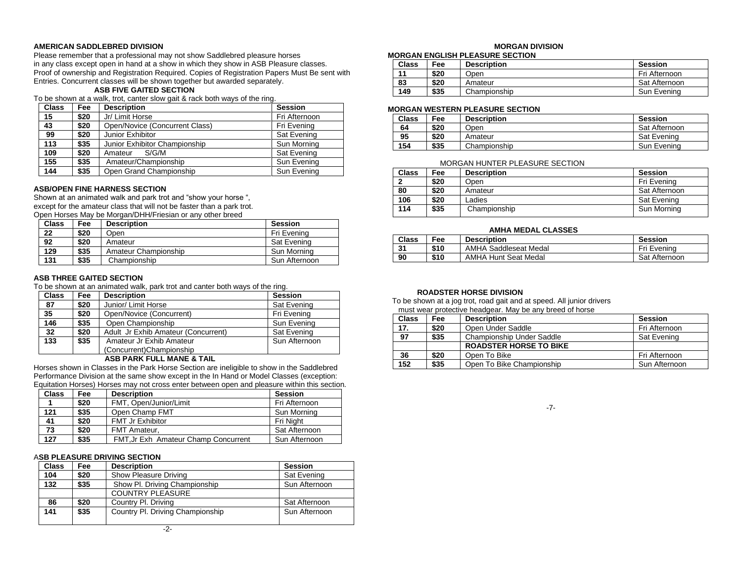#### **AMERICAN SADDLEBRED DIVISION**

Please remember that a professional may not show Saddlebred pleasure horses in any class except open in hand at a show in which they show in ASB Pleasure classes. Proof of ownership and Registration Required. Copies of Registration Papers Must Be sent with Entries. Concurrent classes will be shown together but awarded separately.

#### **ASB FIVE GAITED SECTION**

To be shown at a walk, trot, canter slow gait & rack both ways of the ring.

| <b>Class</b> | <b>Fee</b> | <b>Description</b>             | <b>Session</b> |
|--------------|------------|--------------------------------|----------------|
| 15           | \$20       | Jr/ Limit Horse                | Fri Afternoon  |
| 43           | \$20       | Open/Novice (Concurrent Class) | Fri Evening    |
| 99           | \$20       | Junior Exhibitor               | Sat Evening    |
| 113          | \$35       | Junior Exhibitor Championship  | Sun Morning    |
| 109          | \$20       | Amateur<br>S/G/M               | Sat Evening    |
| 155          | \$35       | Amateur/Championship           | Sun Evening    |
| 144          | \$35       | Open Grand Championship        | Sun Evening    |

#### **ASB/OPEN FINE HARNESS SECTION**

Shown at an animated walk and park trot and "show your horse ", except for the amateur class that will not be faster than a park trot. Open Horses May be Morgan/DHH/Friesian or any other breed

| <b>Class</b> | Fee  | <b>Description</b>   | <b>Session</b> |
|--------------|------|----------------------|----------------|
| 22           | \$20 | Open                 | Fri Evening    |
| 92           | \$20 | Amateur              | Sat Evening    |
| 129          | \$35 | Amateur Championship | Sun Morning    |
| 131          | \$35 | Championship         | Sun Afternoon  |

# **ASB THREE GAITED SECTION**

To be shown at an animated walk, park trot and canter both ways of the ring.

| <b>Class</b>                        | Fee  | <b>Description</b>                  | <b>Session</b> |  |
|-------------------------------------|------|-------------------------------------|----------------|--|
| 87                                  | \$20 | Junior/ Limit Horse                 | Sat Evening    |  |
| 35                                  | \$20 | Open/Novice (Concurrent)            | Fri Evening    |  |
| 146                                 | \$35 | Open Championship                   | Sun Evening    |  |
| 32                                  | \$20 | Adult Jr Exhib Amateur (Concurrent) | Sat Evening    |  |
| $\overline{133}$                    | \$35 | Amateur Jr Exhib Amateur            | Sun Afternoon  |  |
|                                     |      | (Concurrent)Championship            |                |  |
| $\lambda$ on DADIZ FULL MAALE 0 TAU |      |                                     |                |  |

#### **ASB PARK FULL MANE & TAIL**

Horses shown in Classes in the Park Horse Section are ineligible to show in the Saddlebred Performance Division at the same show except in the In Hand or Model Classes (exception: Equitation Horses) Horses may not cross enter between open and pleasure within this section.

| <b>Class</b> | <b>Fee</b> | <b>Description</b>                   | <b>Session</b> |
|--------------|------------|--------------------------------------|----------------|
|              | \$20       | FMT, Open/Junior/Limit               | Fri Afternoon  |
| 121          | \$35       | Open Champ FMT                       | Sun Morning    |
| 41           | \$20       | <b>FMT Jr Exhibitor</b>              | Fri Niaht      |
| 73           | \$20       | FMT Amateur,                         | Sat Afternoon  |
| 127          | \$35       | FMT, Jr Exh Amateur Champ Concurrent | Sun Afternoon  |

#### A**SB PLEASURE DRIVING SECTION**

| <b>Class</b> | Fee  | <b>Description</b>               | Session       |
|--------------|------|----------------------------------|---------------|
| 104          | \$20 | Show Pleasure Driving            | Sat Evening   |
| 132          | \$35 | Show Pl. Driving Championship    | Sun Afternoon |
|              |      | <b>COUNTRY PLEASURE</b>          |               |
| 86           | \$20 | Country Pl. Driving              | Sat Afternoon |
| 141          | \$35 | Country Pl. Driving Championship | Sun Afternoon |

# **MORGAN DIVISION**

#### **MORGAN ENGLISH PLEASURE SECTION**

| Class | Fee  | <b>Description</b> | <b>Session</b> |
|-------|------|--------------------|----------------|
| 11    | \$20 | Open               | Fri Afternoon  |
| 83    | \$20 | Amateur            | Sat Afternoon  |
| 149   | \$35 | Championship       | Sun Evening    |

#### **MORGAN WESTERN PLEASURE SECTION**

| Class | Fee: | <b>Description</b> | Session       |
|-------|------|--------------------|---------------|
| 64    | \$20 | วpen               | Sat Afternoon |
| 95    | \$20 | Amateur            | Sat Evening   |
| 154   | \$35 | Championship       | Sun Evening   |

#### MORGAN HUNTER PLEASURE SECTION

| <b>Class</b> | Fee  | <b>Description</b> | Session       |
|--------------|------|--------------------|---------------|
|              | \$20 | Open               | Fri Evening   |
| 80           | \$20 | Amateur            | Sat Afternoon |
| 106          | \$20 | Ladies             | Sat Evening   |
| 114          | \$35 | Championship       | Sun Morning   |

#### **AMHA MEDAL CLASSES**

| <b>Class</b> | Fee  | <b>Description</b>           | Session       |
|--------------|------|------------------------------|---------------|
| 31           | \$10 | <b>AMHA Saddleseat Medal</b> | Fri Evening   |
| 90           | \$10 | <b>AMHA Hunt Seat Medal</b>  | Sat Afternoon |

#### **ROADSTER HORSE DIVISION**

To be shown at a jog trot, road gait and at speed. All junior drivers must wear protective headgear. May be any breed of horse

| <b>Class</b> | Fee  | <b>Description</b>               | <b>Session</b> |
|--------------|------|----------------------------------|----------------|
| 17.          | \$20 | Open Under Saddle                | Fri Afternoon  |
| 97           | \$35 | <b>Championship Under Saddle</b> | Sat Evening    |
|              |      | <b>ROADSTER HORSE TO BIKE</b>    |                |
| 36           | \$20 | Open To Bike                     | Fri Afternoon  |
| 152          | \$35 | Open To Bike Championship        | Sun Afternoon  |

-7-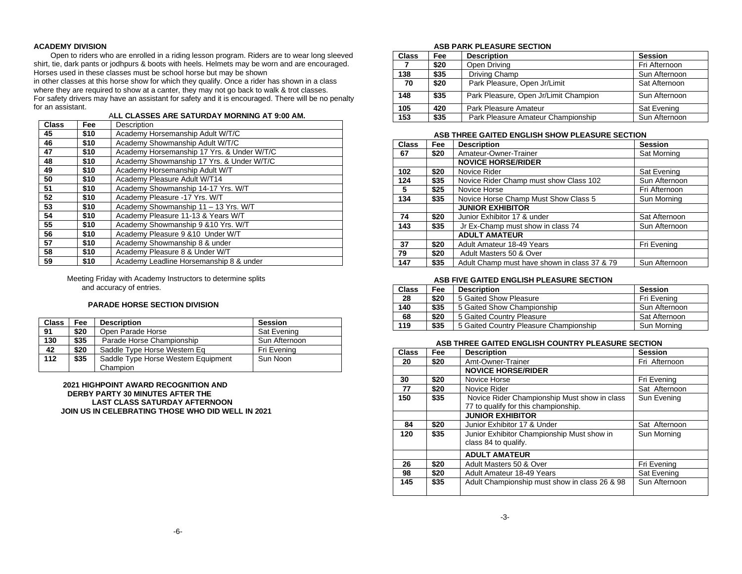#### **ACADEMY DIVISION**

 Open to riders who are enrolled in a riding lesson program. Riders are to wear long sleeved shirt, tie, dark pants or jodhpurs & boots with heels. Helmets may be worn and are encouraged. Horses used in these classes must be school horse but may be shown

in other classes at this horse show for which they qualify. Once a rider has shown in a class where they are required to show at a canter, they may not go back to walk & trot classes. For safety drivers may have an assistant for safety and it is encouraged. There will be no penalty for an assistant.

#### A**LL CLASSES ARE SATURDAY MORNING AT 9:00 AM.**

| <b>Class</b> | Fee  | Description                                |
|--------------|------|--------------------------------------------|
| 45           | \$10 | Academy Horsemanship Adult W/T/C           |
| 46           | \$10 | Academy Showmanship Adult W/T/C            |
| 47           | \$10 | Academy Horsemanship 17 Yrs. & Under W/T/C |
| 48           | \$10 | Academy Showmanship 17 Yrs. & Under W/T/C  |
| 49           | \$10 | Academy Horsemanship Adult W/T             |
| 50           | \$10 | Academy Pleasure Adult W/T14               |
| 51           | \$10 | Academy Showmanship 14-17 Yrs. W/T         |
| 52           | \$10 | Academy Pleasure -17 Yrs. W/T              |
| 53           | \$10 | Academy Showmanship 11 - 13 Yrs. W/T       |
| 54           | \$10 | Academy Pleasure 11-13 & Years W/T         |
| 55           | \$10 | Academy Showmanship 9 & 10 Yrs. W/T        |
| 56           | \$10 | Academy Pleasure 9 & 10 Under W/T          |
| 57           | \$10 | Academy Showmanship 8 & under              |
| 58           | \$10 | Academy Pleasure 8 & Under W/T             |
| 59           | \$10 | Academy Leadline Horsemanship 8 & under    |

 Meeting Friday with Academy Instructors to determine splits and accuracy of entries.

## **PARADE HORSE SECTION DIVISION**

| <b>Class</b> | Fee  | <b>Description</b>                              | Session       |
|--------------|------|-------------------------------------------------|---------------|
| 91           | \$20 | Open Parade Horse                               | Sat Evening   |
| 130          | \$35 | Parade Horse Championship                       | Sun Afternoon |
| 42           | \$20 | Saddle Type Horse Western Eq                    | Fri Evening   |
| 112          | \$35 | Saddle Type Horse Western Equipment<br>Champion | Sun Noon      |

 **2021 HIGHPOINT AWARD RECOGNITION AND DERBY PARTY 30 MINUTES AFTER THE LAST CLASS SATURDAY AFTERNOON JOIN US IN CELEBRATING THOSE WHO DID WELL IN 2021**

#### **ASB PARK PLEASURE SECTION**

| <b>Class</b> | Fee  | <b>Description</b>                    | <b>Session</b> |
|--------------|------|---------------------------------------|----------------|
|              | \$20 | Open Driving                          | Fri Afternoon  |
| 138          | \$35 | Driving Champ                         | Sun Afternoon  |
| 70           | \$20 | Park Pleasure, Open Jr/Limit          | Sat Afternoon  |
| 148          | \$35 | Park Pleasure, Open Jr/Limit Champion | Sun Afternoon  |
| 105          | 420  | Park Pleasure Amateur                 | Sat Evening    |
| 153          | \$35 | Park Pleasure Amateur Championship    | Sun Afternoon  |

#### **ASB THREE GAITED ENGLISH SHOW PLEASURE SECTION**

| <b>Class</b> | Fee  | <b>Description</b>                           | <b>Session</b> |
|--------------|------|----------------------------------------------|----------------|
| 67           | \$20 | Amateur-Owner-Trainer                        | Sat Morning    |
|              |      | <b>NOVICE HORSE/RIDER</b>                    |                |
| 102          | \$20 | Novice Rider                                 | Sat Evening    |
| 124          | \$35 | Novice Rider Champ must show Class 102       | Sun Afternoon  |
| 5            | \$25 | Novice Horse                                 | Fri Afternoon  |
| 134          | \$35 | Novice Horse Champ Must Show Class 5         | Sun Morning    |
|              |      | <b>JUNIOR EXHIBITOR</b>                      |                |
| 74           | \$20 | Junior Exhibitor 17 & under                  | Sat Afternoon  |
| 143          | \$35 | Jr Ex-Champ must show in class 74            | Sun Afternoon  |
|              |      | <b>ADULT AMATEUR</b>                         |                |
| 37           | \$20 | Adult Amateur 18-49 Years                    | Fri Evening    |
| 79           | \$20 | Adult Masters 50 & Over                      |                |
| 147          | \$35 | Adult Champ must have shown in class 37 & 79 | Sun Afternoon  |

#### **ASB FIVE GAITED ENGLISH PLEASURE SECTION**

| <b>Class</b> | Fee  | <b>Description</b>                     | Session       |
|--------------|------|----------------------------------------|---------------|
| 28           | \$20 | 5 Gaited Show Pleasure                 | Fri Evening   |
| 140          | \$35 | 5 Gaited Show Championship             | Sun Afternoon |
| 68           | \$20 | 5 Gaited Country Pleasure              | Sat Afternoon |
| 119          | \$35 | 5 Gaited Country Pleasure Championship | Sun Morning   |

#### **ASB THREE GAITED ENGLISH COUNTRY PLEASURE SECTION**

| <b>Class</b> | Fee  | <b>Description</b>                                                                   | <b>Session</b> |
|--------------|------|--------------------------------------------------------------------------------------|----------------|
| 20           | \$20 | Amt-Owner-Trainer                                                                    | Fri Afternoon  |
|              |      | <b>NOVICE HORSE/RIDER</b>                                                            |                |
| 30           | \$20 | Novice Horse                                                                         | Fri Evening    |
| 77           | \$20 | Novice Rider                                                                         | Sat Afternoon  |
| 150          | \$35 | Novice Rider Championship Must show in class<br>77 to qualify for this championship. | Sun Evening    |
|              |      | <b>JUNIOR EXHIBITOR</b>                                                              |                |
| 84           | \$20 | Junior Exhibitor 17 & Under                                                          | Sat Afternoon  |
| 120          | \$35 | Junior Exhibitor Championship Must show in<br>class 84 to qualify.                   | Sun Morning    |
|              |      | <b>ADULT AMATEUR</b>                                                                 |                |
| 26           | \$20 | Adult Masters 50 & Over                                                              | Fri Evening    |
| 98           | \$20 | Adult Amateur 18-49 Years                                                            | Sat Evening    |
| 145          | \$35 | Adult Championship must show in class 26 & 98                                        | Sun Afternoon  |